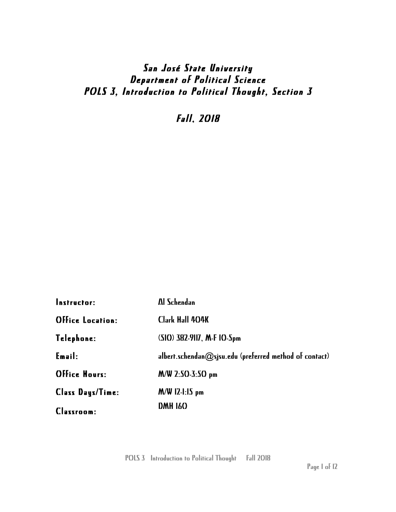# San José State University Department of Political Science POLS 3, Introduction to Political Thought, Section 3

Fall, 2018

| <b>Instructor:</b>      | Al Schendan                                                |
|-------------------------|------------------------------------------------------------|
| <b>Office Location:</b> | <b>Clark Hall 404K</b>                                     |
| Telephone:              | (SIO) 382-9117, M-F 10-5pm                                 |
| Emailz                  | albert.schendan $@$ sjsu.edu (preferred method of contact) |
| <b>Office Hours:</b>    | $M/W$ 2:50-3:50 pm                                         |
| Class Days/Time:        | $M/W$ 12-1:15 pm                                           |
| <b>Classroom:</b>       | <b>DMH 160</b>                                             |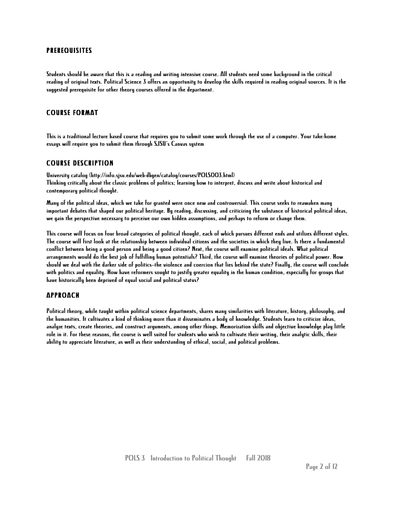#### PREREQUISITES

Students should be aware that this is a reading and writing intensive course. All students need some background in the critical reading of original texts. Political Science 3 offers an opportunity to develop the skills required in reading original sources. It is the suggested prerequisite for other theory courses offered in the department.

#### COURSE FORMAT

This is a traditional lecture based course that requires you to submit some work through the use of a computer. Your take-home essays will require you to submit them through SJSU's Canvas system

#### COURSE DESCRIPTION

University catalog (http://info.sjsu.edu/web-dbgen/catalog/courses/POLS003.html) Thinking critically about the classic problems of politics; learning how to interpret, discuss and write about historical and contemporary political thought.

Many of the political ideas, which we take for granted were once new and controversial. This course seeks to reawaken many important debates that shaped our political heritage. By reading, discussing, and criticizing the substance of historical political ideas, we gain the perspective necessary to perceive our own hidden assumptions, and perhaps to reform or change them.

This course will focus on four broad categories of political thought, each of which pursues different ends and utilizes different styles. The course will first look at the relationship between individual citizens and the societies in which they live. Is there a fundamental conflict between being a good person and being a good citizen? Next, the course will examine political ideals. What political arrangements would do the best job of fulfilling human potentials? Third, the course will examine theories of political power. How should we deal with the darker side of politics--the violence and coercion that lies behind the state? Finally, the course will conclude with politics and equality. How have reformers sought to justify greater equality in the human condition, especially for groups that have historically been deprived of equal social and political status?

#### APPROACH

Political theory, while taught within political science departments, shares many similarities with literature, history, philosophy, and the humanities. It cultivates a kind of thinking more than it disseminates a body of knowledge. Students learn to criticize ideas, analyze texts, create theories, and construct arguments, among other things. Memorization skills and objective knowledge play little role in it. For these reasons, the course is well suited for students who wish to cultivate their writing, their analytic skills, their ability to appreciate literature, as well as their understanding of ethical, social, and political problems.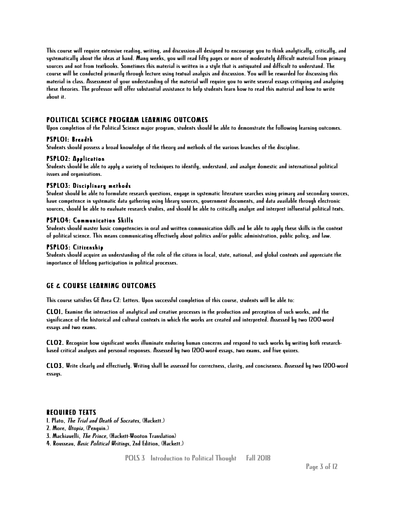This course will require extensive reading, writing, and discussion-all designed to encourage you to think analytically, critically, and systematically about the ideas at hand. Many weeks, you will read fifty pages or more of moderately difficult material from primary sources and not from textbooks. Sometimes this material is written in a style that is antiquated and difficult to understand. The course will be conducted primarily through lecture using textual analysis and discussion. You will be rewarded for discussing this material in class. Assessment of your understanding of the material will require you to write several essays critiquing and analyzing these theories. The professor will offer substantial assistance to help students learn how to read this material and how to write about it.

### POLITICAL SCIENCE PROGRAM LEARNING OUTCOMES

Upon completion of the Political Science major program, students should be able to demonstrate the following learning outcomes.

#### PSPLO1: Breadth

Students should possess a broad knowledge of the theory and methods of the various branches of the discipline.

#### PSPLO2: Application

Students should be able to apply a variety of techniques to identify, understand, and analyze domestic and international political issues and organizations.

#### PSPLO3: Disciplinary methods

Student should be able to formulate research questions, engage in systematic literature searches using primary and secondary sources, have competence in systematic data gathering using library sources, government documents, and data available through electronic sources, should be able to evaluate research studies, and should be able to critically analyze and interpret influential political texts.

#### PSPLO4: Communication Skills

Students should master basic competencies in oral and written communication skills and be able to apply these skills in the context of political science. This means communicating effectively about politics and/or public administration, public policy, and law.

#### PSPLO5: Citizenship

Students should acquire an understanding of the role of the citizen in local, state, national, and global contexts and appreciate the importance of lifelong participation in political processes.

### GE & COURSE LEARNING OUTCOMES

This course satisfies GE Area C2: Letters. Upon successful completion of this course, students will be able to:

CLO1. Examine the interaction of analytical and creative processes in the production and perception of such works, and the significance of the historical and cultural contexts in which the works are created and interpreted. Assessed by two 1200-word essays and two exams.

CLO2. Recognize how significant works illuminate enduring human concerns and respond to such works by writing both researchbased critical analyses and personal responses. Assessed by two 1200-word essays, two exams, and five quizzes.

CLO3. Write clearly and effectively. Writing shall be assessed for correctness, clarity, and conciseness. Assessed by two 1200-word essays.

#### REQUIRED TEXTS

- 1. Plato, The Trial and Death of Socrates, (Hackett.)
- 2. More, Utopia, (Penguin.)
- 3. Machiavelli, The Prince, (Hackett-Wooton Translation)
- 4. Rousseau, Basic Political Writings, 2nd Edition, (Hackett.)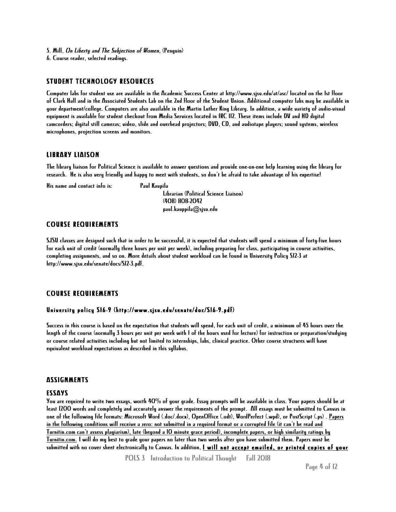- 5. Mill, On Liberty and The Subjection of Women, (Penguin)
- 6. Course reader, selected readings.

#### STUDENT TECHNOLOGY RESOURCES

Computer labs for student use are available in the Academic Success Center at http://www.sjsu.edu/at/asc/ located on the 1st floor of Clark Hall and in the Associated Students Lab on the 2nd floor of the Student Union. Additional computer labs may be available in your department/college. Computers are also available in the Martin Luther King Library. In addition, a wide variety of audio-visual equipment is available for student checkout from Media Services located in IRC 112. These items include DV and HD digital camcorders; digital still cameras; video, slide and overhead projectors; DVD, CD, and audiotape players; sound systems, wireless microphones, projection screens and monitors.

#### LIBRARY LIAISON

The library liaison for Political Science is available to answer questions and provide one-on-one help learning using the library for research. He is also very friendly and happy to meet with students, so don't be afraid to take advantage of his expertise!

His name and contact info is: Paul Kaupila

Librarian (Political Science Liaison) (408) 808-2042 paul.kauppila@sjsu.edu

#### COURSE REQUIREMENTS

SJSU classes are designed such that in order to be successful, it is expected that students will spend a minimum of forty-five hours for each unit of credit (normally three hours per unit per week), including preparing for class, participating in course activities, completing assignments, and so on. More details about student workload can be found in University Policy S12-3 at http://www.sjsu.edu/senate/docs/S12-3.pdf.

#### COURSE REQUIREMENTS

#### University policy S16-9 (http://www.sjsu.edu/senate/doc/S16-9.pdf)

Success in this course is based on the expectation that students will spend, for each unit of credit, a minimum of 45 hours over the length of the course (normally 3 hours per unit per week with 1 of the hours used for lecture) for instruction or preparation/studying or course related activities including but not limited to internships, labs, clinical practice. Other course structures will have equivalent workload expectations as described in this syllabus.

#### **ASSIGNMENTS**

#### ESSAYS

You are required to write two essays, worth 40% of your grade. Essay prompts will be available in class. Your papers should be at least 1200 words and completely and accurately answer the requirements of the prompt. All essays must be submitted to Canvas in one of the following file formats: Microsoft Word (.doc/.docx), OpenOffice (.odt), WordPerfect (.wpd), or PostScript (.ps) . Papers in the following conditions will receive a zero: not submitted in a required format or a corrupted file (it can't be read and Turnitin.com can't assess plagiarism), late (beyond a 10 minute grace period), incomplete papers, or high similarity ratings by Turnitin.com. I will do my best to grade your papers no later than two weeks after you have submitted them. Papers must be submitted with no cover sheet electronically to Canvas. In addition, I will not accept emailed, or printed copies of your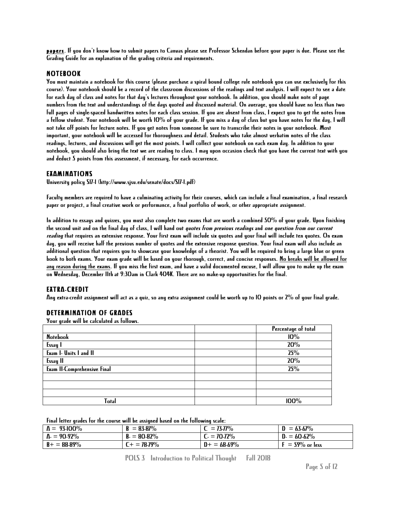papers. If you don't know how to submit papers to Canvas please see Professor Schendan before your paper is due. Please see the Grading Guide for an explanation of the grading criteria and requirements.

#### NOTEBOOK

You must maintain a notebook for this course (please purchase a spiral bound college rule notebook you can use exclusively for this course). Your notebook should be a record of the classroom discussions of the readings and text analysis. I will expect to see a date for each day of class and notes for that day's lectures throughout your notebook. In addition, you should make note of page numbers from the text and understandings of the days quoted and discussed material. On average, you should have no less than two full pages of single-spaced handwritten notes for each class session. If you are absent from class, I expect you to get the notes from a fellow student. Your notebook will be worth 10% of your grade. If you miss a day of class but you have notes for the day, I will not take off points for lecture notes. If you get notes from someone be sure to transcribe their notes in your notebook. Most important, your notebook will be accessed for thoroughness and detail. Students who take almost verbatim notes of the class readings, lectures, and discussions will get the most points. I will collect your notebook on each exam day. In addition to your notebook, you should also bring the text we are reading to class. I may upon occasion check that you have the current text with you and deduct 5 points from this assessment, if necessary, for each occurrence.

### EXAMINATIONS

University policy S17-1 (http://www.sjsu.edu/senate/docs/S17-1.pdf)

Faculty members are required to have a culminating activity for their courses, which can include a final examination, a final research paper or project, a final creative work or performance, a final portfolio of work, or other appropriate assignment.

In addition to essays and quizzes, you must also complete two exams that are worth a combined 50% of your grade. Upon finishing the second unit and on the final day of class, I will hand out *quotes from previous readings* and *one question from our current* reading that requires an extensive response. Your first exam will include six quotes and your final will include ten quotes. On exam day, you will receive half the previous number of quotes and the extensive response question. Your final exam will also include an additional question that requires you to showcase your knowledge of a theorist. You will be required to bring a large blue or green book to both exams. Your exam grade will be based on your thorough, correct, and concise responses. No breaks will be allowed for any reason during the exams. If you miss the first exam, and have a valid documented excuse, I will allow you to make up the exam on Wednesday, December 11that 9:30am in Clark 404K. There are no make-up opportunities for the final.

#### EXTRA-CREDIT

Any extra-credit assignment will act as a quiz, so any extra assignment could be worth up to 10 points or 2% of your final grade.

### DETERMINATION OF GRADES

Your grade will be calculated as follows.

|                                    | Percentage of total |
|------------------------------------|---------------------|
| <b>Notebook</b>                    | 10%                 |
| Essay                              | 20%                 |
| Exam I- Units I and II             | 25%                 |
| <b>Essay II</b>                    | 20%                 |
| <b>Exam II-Comprehensive Final</b> | 25%                 |
|                                    |                     |
|                                    |                     |
|                                    |                     |
| Total                              | 100%                |

Final letter grades for the course will be assigned based on the following scale:

| $\Lambda = 93-100\%$ | B<br>$= 83-87\%$  | $= 73.77\%$     | $= 63.67\%$     |
|----------------------|-------------------|-----------------|-----------------|
| $\Lambda = 90.92\%$  | $B = 80 - 82\%$   | $C = 70 - 72\%$ | $D = 60.62\%$   |
| $B+ = 88-89\%$       | $T_{+} = 78.79\%$ | $D+ = 68.69\%$  | $=$ 59% or less |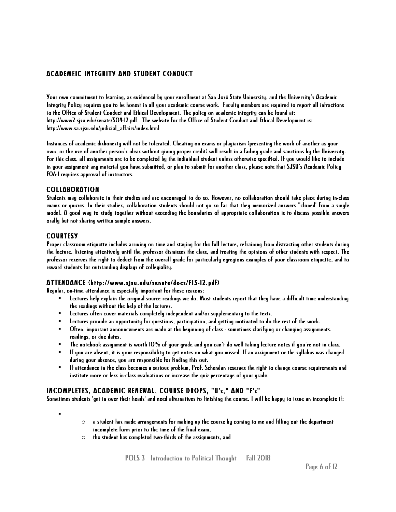### ACADEMEIC INTEGRITY AND STUDENT CONDUCT

Your own commitment to learning, as evidenced by your enrollment at San José State University, and the University's Academic Integrity Policy requires you to be honest in all your academic course work. Faculty members are required to report all infractions to the Office of Student Conduct and Ethical Development. The policy on academic integrity can be found at: http://www2.sjsu.edu/senate/S04-12.pdf. The website for the Office of Student Conduct and Ethical Development is: http://www.sa.sjsu.edu/judicial\_affairs/index.html

Instances of academic dishonesty will not be tolerated. Cheating on exams or plagiarism (presenting the work of another as your own, or the use of another person's ideas without giving proper credit) will result in a failing grade and sanctions by the University. For this class, all assignments are to be completed by the individual student unless otherwise specified. If you would like to include in your assignment any material you have submitted, or plan to submit for another class, please note that SJSU's Academic Policy F06-1 requires approval of instructors.

### COLLABORATION

Students may collaborate in their studies and are encouraged to do so. However, no collaboration should take place during in-class exams or quizzes. In their studies, collaboration students should not go so far that they memorized answers "cloned' from a single model. A good way to study together without exceeding the boundaries of appropriate collaboration is to discuss possible answers orally but not sharing written sample answers.

### COURTESY

Proper classroom etiquette includes arriving on time and staying for the full lecture, refraining from distracting other students during the lecture, listening attentively until the professor dismisses the class, and treating the opinions of other students with respect. The professor reserves the right to deduct from the overall grade for particularly egregious examples of poor classroom etiquette, and to reward students for outstanding displays of collegiality.

### ATTENDANCE (http://www.sjsu.edu/senate/docs/F15-12.pdf)

Regular, on-time attendance is especially important for these reasons:

- § Lectures help explain the original-source readings we do. Most students report that they have a difficult time understanding the readings without the help of the lectures.
- § Lectures often cover materials completely independent and/or supplementary to the texts.
- Lectures provide an opportunity for questions, participation, and getting motivated to do the rest of the work.
- § Often, important announcements are made at the beginning of class sometimes clarifying or changing assignments, readings, or due dates.
- $\blacksquare$  The notebook assignment is worth 10% of your grade and you can't do well taking lecture notes if you're not in class.
- § If you are absent, it is your responsibility to get notes on what you missed. If an assignment or the syllabus was changed during your absence, you are responsible for finding this out.
- § If attendance in the class becomes a serious problem, Prof. Schendan reserves the right to change course requirements and institute more or less in-class evaluations or increase the quiz percentage of your grade.

### INCOMPLETES, ACADEMIC RENEWAL, COURSE DROPS, "U's," AND "F's"

Sometimes students 'get in over their heads' and need alternatives to finishing the course. I will be happy to issue an incomplete if:

§

- $\circ$  a student has made arrangements for making up the course by coming to me and filling out the department incomplete form prior to the time of the final exam,
- o the student has completed two-thirds of the assignments, and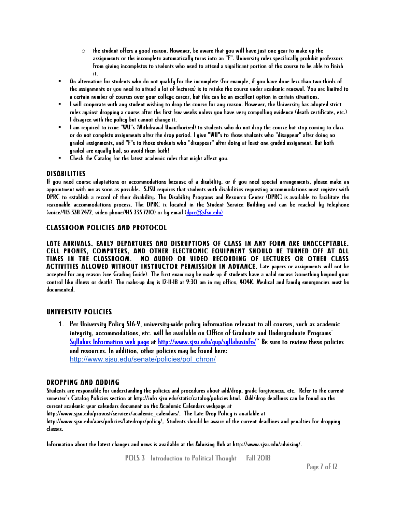- $\circ$  the student offers a good reason. However, be aware that you will have just one year to make up the assignments or the incomplete automatically turns into an "F". University rules specifically prohibit professors from giving incompletes to students who need to attend a significant portion of the course to be able to finish it.
- § An alternative for students who do not qualify for the incomplete (for example, if you have done less than two-thirds of the assignments or you need to attend a lot of lectures) is to retake the course under academic renewal. You are limited to a certain number of courses over your college career, but this can be an excellent option in certain situations.
- § I will cooperate with any student wishing to drop the course for any reason. However, the University has adopted strict rules against dropping a course after the first few weeks unless you have very compelling evidence (death certificate, etc.) I disagree with the policy but cannot change it.
- § I am required to issue "WU"s (Withdrawal Unauthorized) to students who do not drop the course but stop coming to class or do not complete assignments after the drop period. I give "WU"s to those students who "disappear" after doing no graded assignments, and "F"s to those students who "disappear" after doing at least one graded assignment. But both graded are equally bad, so avoid them both!
- § Check the Catalog for the latest academic rules that might affect you.

### DISABILITIES

If you need course adaptations or accommodations because of a disability, or if you need special arrangements, please make an appointment with me as soon as possible. SJSU requires that students with disabilities requesting accommodations must register with DPRC to establish a record of their disability. The Disability Programs and Resource Center (DPRC) is available to facilitate the reasonable accommodations process. The DPRC is located in the Student Service Building and can be reached by telephone (voice/415-338-2472, video phone/415-335-7210) or by email (dprc@sfsu.edu)

### CLASSROOM POLICIES AND PROTOCOL

LATE ARRIVALS, EARLY DEPARTURES AND DISRUPTIONS OF CLASS IN ANY FORM ARE UNACCEPTABLE. CELL PHONES, COMPUTERS, AND OTHER ELECTRONIC EQUIPMENT SHOULD BE TURNED OFF AT ALL TIMES IN THE CLASSROOM. NO AUDIO OR VIDEO RECORDING OF LECTURES OR OTHER CLASS ACTIVITIES ALLOWED WITHOUT INSTRUCTOR PERMISSION IN ADVANCE. Late papers or assignments will not be accepted for any reason (see Grading Guide). The first exam may be made up if students have a valid excuse (something beyond your control like illness or death). The make-up day is 12-11-18 at 9:30 am in my office, 404K. Medical and family emergencies must be documented.

### UNIVERSITY POLICIES

1. Per University Policy S16-9, university-wide policy information relevant to all courses, such as academic integrity, accommodations, etc. will be available on Office of Graduate and Undergraduate Programs' Syllabus Information web page at http://www.sjsu.edu/gup/syllabusinfo/" Be sure to review these policies and resources. In addition, other policies may be found here: http://www.sjsu.edu/senate/policies/pol\_chron/

### DROPPING AND ADDING

Students are responsible for understanding the policies and procedures about add/drop, grade forgiveness, etc. Refer to the current semester's Catalog Policies section at http://info.sjsu.edu/static/catalog/policies.html. Add/drop deadlines can be found on the current academic year calendars document on the Academic Calendars webpage at

http://www.sjsu.edu/provost/services/academic\_calendars/. The Late Drop Policy is available at http://www.sjsu.edu/aars/policies/latedrops/policy/. Students should be aware of the current deadlines and penalties for dropping classes.

Information about the latest changes and news is available at the Advising Hub at http://www.sjsu.edu/advising/.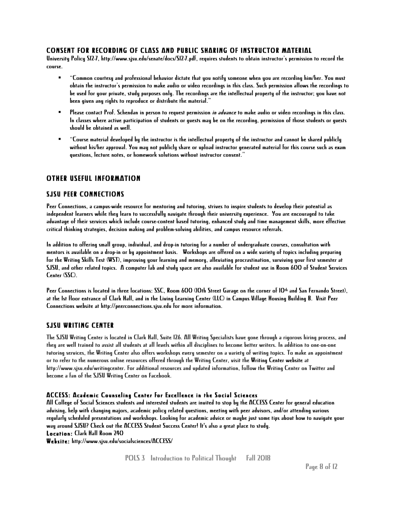### CONSENT FOR RECORDING OF CLASS AND PUBLIC SHARING OF INSTRUCTOR MATERIAL

University Policy S12-7, http://www.sjsu.edu/senate/docs/S12-7.pdf, requires students to obtain instructor's permission to record the course.

- § "Common courtesy and professional behavior dictate that you notify someone when you are recording him/her. You must obtain the instructor's permission to make audio or video recordings in this class. Such permission allows the recordings to be used for your private, study purposes only. The recordings are the intellectual property of the instructor; you have not been given any rights to reproduce or distribute the material."
- **•** Please contact Prof. Schendan in person to request permission *in advance* to make audio or video recordings in this class. In classes where active participation of students or guests may be on the recording, permission of those students or guests should be obtained as well.
- § "Course material developed by the instructor is the intellectual property of the instructor and cannot be shared publicly without his/her approval. You may not publicly share or upload instructor generated material for this course such as exam questions, lecture notes, or homework solutions without instructor consent."

### OTHER USEFUL INFORMATION

### SJSU PEER CONNECTIONS

Peer Connections, a campus-wide resource for mentoring and tutoring, strives to inspire students to develop their potential as independent learners while they learn to successfully navigate through their university experience. You are encouraged to take advantage of their services which include course-content based tutoring, enhanced study and time management skills, more effective critical thinking strategies, decision making and problem-solving abilities, and campus resource referrals.

In addition to offering small group, individual, and drop-in tutoring for a number of undergraduate courses, consultation with mentors is available on a drop-in or by appointment basis. Workshops are offered on a wide variety of topics including preparing for the Writing Skills Test (WST), improving your learning and memory, alleviating procrastination, surviving your first semester at SJSU, and other related topics. A computer lab and study space are also available for student use in Room 600 of Student Services Center (SSC).

Peer Connections is located in three locations: SSC, Room 600 (IOth Street Garage on the corner of IO<sup>th</sup> and San Fernando Street), at the 1st floor entrance of Clark Hall, and in the Living Learning Center (LLC) in Campus Village Housing Building B. Visit Peer Connections website at http://peerconnections.sjsu.edu for more information.

### SJSU WRITING CENTER

The SJSU Writing Center is located in Clark Hall, Suite 126. All Writing Specialists have gone through a rigorous hiring process, and they are well trained to assist all students at all levels within all disciplines to become better writers. In addition to one-on-one tutoring services, the Writing Center also offers workshops every semester on a variety of writing topics. To make an appointment or to refer to the numerous online resources offered through the Writing Center, visit the Writing Center website at http://www.sjsu.edu/writingcenter. For additional resources and updated information, follow the Writing Center on Twitter and become a fan of the SJSU Writing Center on Facebook.

### ACCESS: Academic Counseling Center for Excellence in the Social Sciences

All College of Social Sciences students and interested students are invited to stop by the ACCESS Center for general education advising, help with changing majors, academic policy related questions, meeting with peer advisors, and/or attending various regularly scheduled presentations and workshops. Looking for academic advice or maybe just some tips about how to navigate your way around SJSU? Check out the ACCESS Student Success Center! It's also a great place to study. Location: Clark Hall Room 240

Website: http://www.sjsu.edu/socialsciences/ACCESS/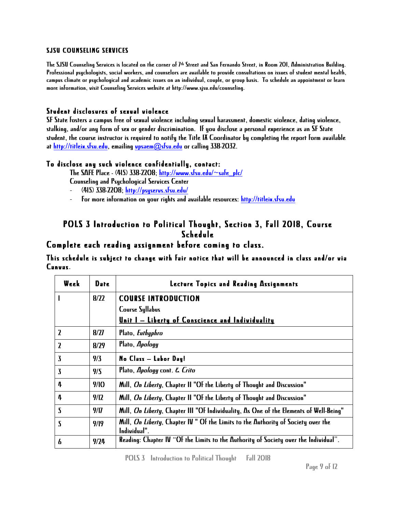### SJSU COUNSELING SERVICES

The SJSU Counseling Services is located on the corner of 7<sup>th</sup> Street and San Fernando Street, in Room 201, Administration Building. Professional psychologists, social workers, and counselors are available to provide consultations on issues of student mental health, campus climate or psychological and academic issues on an individual, couple, or group basis. To schedule an appointment or learn more information, visit Counseling Services website at http://www.sjsu.edu/counseling.

### Student disclosures of sexual violence

SF State fosters a campus free of sexual violence including sexual harassment, domestic violence, dating violence, stalking, and/or any form of sex or gender discrimination. If you disclose a personal experience as an SF State student, the course instructor is required to notify the Title IX Coordinator by completing the report form available at http://titleix.sfsu.edu, emailing vpsaem@sfsu.edu or calling 338-2032.

### To disclose any such violence confidentially, contact:

The SAFE Place -  $(415)$  338-2208; http://www.sfsu.edu/ $\sim$ safe\_plc/

- Counseling and Psychological Services Center
- *-* (415) 338-2208; http://psyservs.sfsu.edu/
- *-* For more information on your rights and available resources: http://titleix.sfsu.edu

## POLS 3 Introduction to Political Thought, Section 3, Fall 2018, Course Schedule

### Complete each reading assignment before coming to class.

This schedule is subject to change with fair notice that will be announced in class and/or via Canvas.

| Week                    | Date | Lecture Topics and Reading Assignments                                                            |
|-------------------------|------|---------------------------------------------------------------------------------------------------|
|                         | 8/22 | <b>COURSE INTRODUCTION</b>                                                                        |
|                         |      | <b>Course Syllabus</b>                                                                            |
|                         |      | <u>Unit I - Liberty of Conscience and Individuality</u>                                           |
| $\overline{\mathbf{z}}$ | 8/27 | Plato, Euthyphro                                                                                  |
| $\mathbf{Z}$            | 8/29 | Plato, Apology                                                                                    |
| $\bf{3}$                | 9/3  | No Class - Labor Day!                                                                             |
| $\overline{\mathbf{3}}$ | 9/5  | Plato, Apology cont. E. Crito                                                                     |
| 4                       | 9/10 | Mill, On Liberty, Chapter II "Of the Liberty of Thought and Discussion"                           |
| 4                       | 9/12 | Mill, On Liberty, Chapter II "Of the Liberty of Thought and Discussion"                           |
| $\overline{\mathbf{S}}$ | 9/17 | Mill, On Liberty, Chapter III "Of Individuality, As One of the Elements of Well-Being"            |
| 5                       | 9/19 | Mill, On Liberty, Chapter IV " Of the Limits to the Authority of Society over the<br>Individual". |
| 6                       | 9/24 | Reading: Chapter IV "Of the Limits to the Authority of Society over the Individual".              |